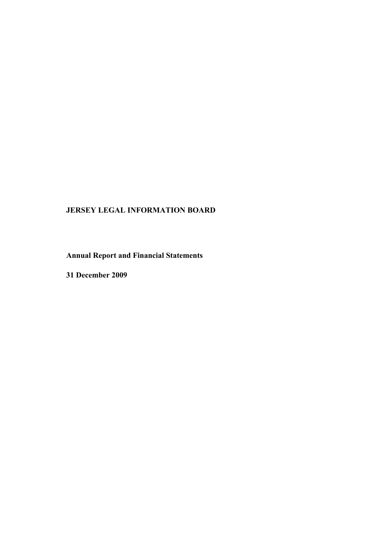# **JERSEY LEGAL INFORMATION BOARD**

**Annual Report and Financial Statements**

**31 December 2009**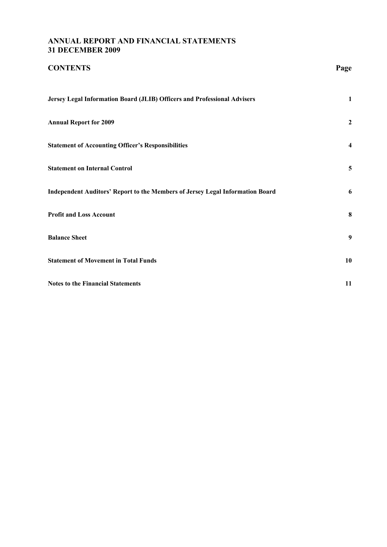# **ANNUAL REPORT AND FINANCIAL STATEMENTS 31 DECEMBER 2009**

| <b>CONTENTS</b>                                                               | Page                    |
|-------------------------------------------------------------------------------|-------------------------|
| Jersey Legal Information Board (JLIB) Officers and Professional Advisers      | $\mathbf{1}$            |
| <b>Annual Report for 2009</b>                                                 | $\overline{\mathbf{c}}$ |
| <b>Statement of Accounting Officer's Responsibilities</b>                     | 4                       |
| <b>Statement on Internal Control</b>                                          | 5                       |
| Independent Auditors' Report to the Members of Jersey Legal Information Board | 6                       |
| <b>Profit and Loss Account</b>                                                | 8                       |
| <b>Balance Sheet</b>                                                          | 9                       |
| <b>Statement of Movement in Total Funds</b>                                   | 10                      |
| <b>Notes to the Financial Statements</b>                                      | 11                      |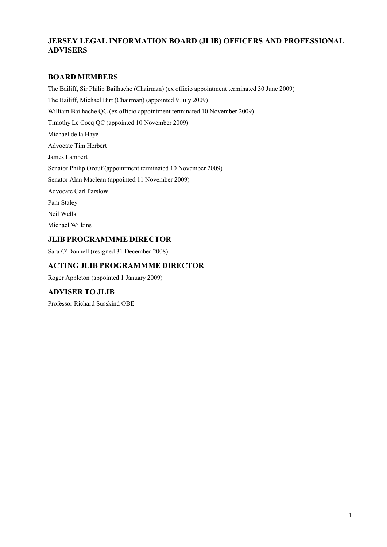# **JERSEY LEGAL INFORMATION BOARD (JLIB) OFFICERS AND PROFESSIONAL ADVISERS**

# **BOARD MEMBERS**

The Bailiff, Sir Philip Bailhache (Chairman) (ex officio appointment terminated 30 June 2009) The Bailiff, Michael Birt (Chairman) (appointed 9 July 2009) William Bailhache QC (ex officio appointment terminated 10 November 2009) Timothy Le Cocq QC (appointed 10 November 2009) Michael de la Haye Advocate Tim Herbert James Lambert Senator Philip Ozouf (appointment terminated 10 November 2009) Senator Alan Maclean (appointed 11 November 2009) Advocate Carl Parslow Pam Staley Neil Wells Michael Wilkins

# **JLIB PROGRAMMME DIRECTOR**

Sara O'Donnell (resigned 31 December 2008)

# **ACTING JLIB PROGRAMMME DIRECTOR**

Roger Appleton (appointed 1 January 2009)

## **ADVISER TO JLIB**

Professor Richard Susskind OBE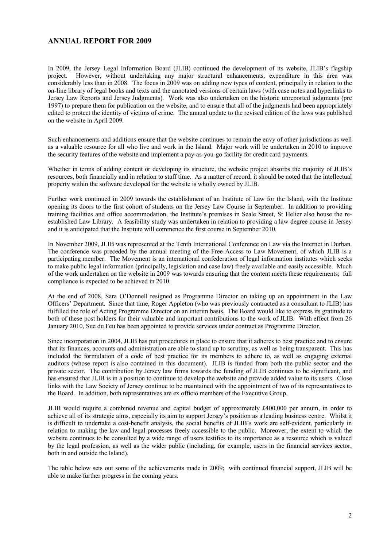## **ANNUAL REPORT FOR 2009**

In 2009, the Jersey Legal Information Board (JLIB) continued the development of its website, JLIB's flagship project. However, without undertaking any major structural enhancements, expenditure in this area was considerably less than in 2008. The focus in 2009 was on adding new types of content, principally in relation to the on-line library of legal books and texts and the annotated versions of certain laws (with case notes and hyperlinks to Jersey Law Reports and Jersey Judgments). Work was also undertaken on the historic unreported judgments (pre 1997) to prepare them for publication on the website, and to ensure that all of the judgments had been appropriately edited to protect the identity of victims of crime. The annual update to the revised edition of the laws was published on the website in April 2009.

Such enhancements and additions ensure that the website continues to remain the envy of other jurisdictions as well as a valuable resource for all who live and work in the Island. Major work will be undertaken in 2010 to improve the security features of the website and implement a pay-as-you-go facility for credit card payments.

Whether in terms of adding content or developing its structure, the website project absorbs the majority of JLIB's resources, both financially and in relation to staff time. As a matter of record, it should be noted that the intellectual property within the software developed for the website is wholly owned by JLIB.

Further work continued in 2009 towards the establishment of an Institute of Law for the Island, with the Institute opening its doors to the first cohort of students on the Jersey Law Course in September. In addition to providing training facilities and office accommodation, the Institute's premises in Seale Street, St Helier also house the reestablished Law Library. A feasibility study was undertaken in relation to providing a law degree course in Jersey and it is anticipated that the Institute will commence the first course in September 2010.

In November 2009, JLIB was represented at the Tenth International Conference on Law via the Internet in Durban. The conference was preceded by the annual meeting of the Free Access to Law Movement, of which JLIB is a participating member. The Movement is an international confederation of legal information institutes which seeks to make public legal information (principally, legislation and case law) freely available and easily accessible. Much of the work undertaken on the website in 2009 was towards ensuring that the content meets these requirements; full compliance is expected to be achieved in 2010.

At the end of 2008, Sara O'Donnell resigned as Programme Director on taking up an appointment in the Law Officers' Department. Since that time, Roger Appleton (who was previously contracted as a consultant to JLIB) has fulfilled the role of Acting Programme Director on an interim basis. The Board would like to express its gratitude to both of these post holders for their valuable and important contributions to the work of JLIB. With effect from 26 January 2010, Sue du Feu has been appointed to provide services under contract as Programme Director.

Since incorporation in 2004, JLIB has put procedures in place to ensure that it adheres to best practice and to ensure that its finances, accounts and administration are able to stand up to scrutiny, as well as being transparent. This has included the formulation of a code of best practice for its members to adhere to, as well as engaging external auditors (whose report is also contained in this document). JLIB is funded from both the public sector and the private sector. The contribution by Jersey law firms towards the funding of JLIB continues to be significant, and has ensured that JLIB is in a position to continue to develop the website and provide added value to its users. Close links with the Law Society of Jersey continue to be maintained with the appointment of two of its representatives to the Board. In addition, both representatives are ex officio members of the Executive Group.

JLIB would require a combined revenue and capital budget of approximately £400,000 per annum, in order to achieve all of its strategic aims, especially its aim to support Jersey's position as a leading business centre. Whilst it is difficult to undertake a cost-benefit analysis, the social benefits of JLIB's work are self-evident, particularly in relation to making the law and legal processes freely accessible to the public. Moreover, the extent to which the website continues to be consulted by a wide range of users testifies to its importance as a resource which is valued by the legal profession, as well as the wider public (including, for example, users in the financial services sector, both in and outside the Island).

The table below sets out some of the achievements made in 2009; with continued financial support, JLIB will be able to make further progress in the coming years.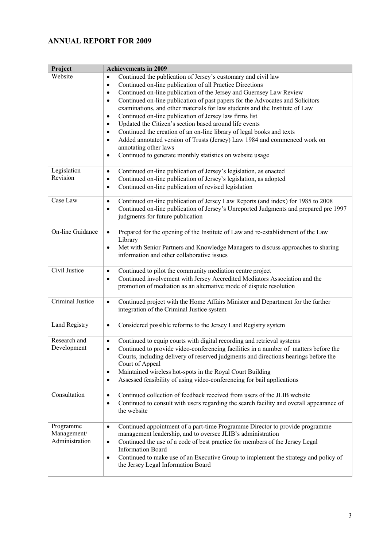# **ANNUAL REPORT FOR 2009**

| Project                                    | <b>Achievements in 2009</b>                                                                                                                                                                                                                                                                                                                                                                                                                                                                                                                                                                                                                                                                                                                                                                                                           |
|--------------------------------------------|---------------------------------------------------------------------------------------------------------------------------------------------------------------------------------------------------------------------------------------------------------------------------------------------------------------------------------------------------------------------------------------------------------------------------------------------------------------------------------------------------------------------------------------------------------------------------------------------------------------------------------------------------------------------------------------------------------------------------------------------------------------------------------------------------------------------------------------|
| Website                                    | Continued the publication of Jersey's customary and civil law<br>$\bullet$<br>Continued on-line publication of all Practice Directions<br>$\bullet$<br>Continued on-line publication of the Jersey and Guernsey Law Review<br>$\bullet$<br>Continued on-line publication of past papers for the Advocates and Solicitors<br>$\bullet$<br>examinations, and other materials for law students and the Institute of Law<br>Continued on-line publication of Jersey law firms list<br>٠<br>Updated the Citizen's section based around life events<br>$\bullet$<br>Continued the creation of an on-line library of legal books and texts<br>$\bullet$<br>Added annotated version of Trusts (Jersey) Law 1984 and commenced work on<br>$\bullet$<br>annotating other laws<br>Continued to generate monthly statistics on website usage<br>٠ |
| Legislation<br>Revision                    | Continued on-line publication of Jersey's legislation, as enacted<br>$\bullet$<br>Continued on-line publication of Jersey's legislation, as adopted<br>$\bullet$<br>Continued on-line publication of revised legislation<br>$\bullet$                                                                                                                                                                                                                                                                                                                                                                                                                                                                                                                                                                                                 |
| Case Law                                   | Continued on-line publication of Jersey Law Reports (and index) for 1985 to 2008<br>$\bullet$<br>Continued on-line publication of Jersey's Unreported Judgments and prepared pre 1997<br>٠<br>judgments for future publication                                                                                                                                                                                                                                                                                                                                                                                                                                                                                                                                                                                                        |
| <b>On-line Guidance</b>                    | Prepared for the opening of the Institute of Law and re-establishment of the Law<br>$\bullet$<br>Library<br>Met with Senior Partners and Knowledge Managers to discuss approaches to sharing<br>$\bullet$<br>information and other collaborative issues                                                                                                                                                                                                                                                                                                                                                                                                                                                                                                                                                                               |
| Civil Justice                              | Continued to pilot the community mediation centre project<br>$\bullet$<br>Continued involvement with Jersey Accredited Mediators Association and the<br>$\bullet$<br>promotion of mediation as an alternative mode of dispute resolution                                                                                                                                                                                                                                                                                                                                                                                                                                                                                                                                                                                              |
| <b>Criminal Justice</b>                    | Continued project with the Home Affairs Minister and Department for the further<br>$\bullet$<br>integration of the Criminal Justice system                                                                                                                                                                                                                                                                                                                                                                                                                                                                                                                                                                                                                                                                                            |
| Land Registry                              | Considered possible reforms to the Jersey Land Registry system<br>$\bullet$                                                                                                                                                                                                                                                                                                                                                                                                                                                                                                                                                                                                                                                                                                                                                           |
| Research and<br>Development                | Continued to equip courts with digital recording and retrieval systems<br>$\bullet$<br>Continued to provide video-conferencing facilities in a number of matters before the<br>$\bullet$<br>Courts, including delivery of reserved judgments and directions hearings before the<br>Court of Appeal<br>Maintained wireless hot-spots in the Royal Court Building<br>٠<br>Assessed feasibility of using video-conferencing for bail applications<br>٠                                                                                                                                                                                                                                                                                                                                                                                   |
| Consultation                               | Continued collection of feedback received from users of the JLIB website<br>$\bullet$<br>Continued to consult with users regarding the search facility and overall appearance of<br>$\bullet$<br>the website                                                                                                                                                                                                                                                                                                                                                                                                                                                                                                                                                                                                                          |
| Programme<br>Management/<br>Administration | Continued appointment of a part-time Programme Director to provide programme<br>$\bullet$<br>management leadership, and to oversee JLIB's administration<br>Continued the use of a code of best practice for members of the Jersey Legal<br>٠<br><b>Information Board</b><br>Continued to make use of an Executive Group to implement the strategy and policy of<br>$\bullet$<br>the Jersey Legal Information Board                                                                                                                                                                                                                                                                                                                                                                                                                   |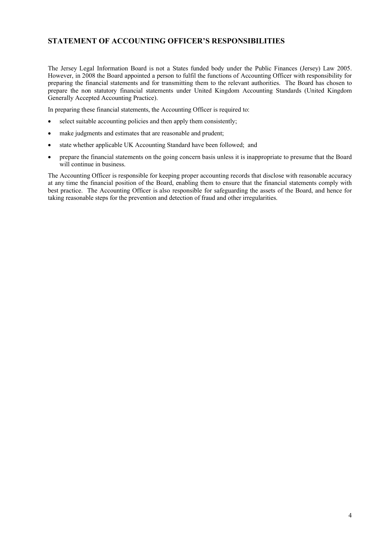## **STATEMENT OF ACCOUNTING OFFICER'S RESPONSIBILITIES**

The Jersey Legal Information Board is not a States funded body under the Public Finances (Jersey) Law 2005. However, in 2008 the Board appointed a person to fulfil the functions of Accounting Officer with responsibility for preparing the financial statements and for transmitting them to the relevant authorities. The Board has chosen to prepare the non statutory financial statements under United Kingdom Accounting Standards (United Kingdom Generally Accepted Accounting Practice).

In preparing these financial statements, the Accounting Officer is required to:

- select suitable accounting policies and then apply them consistently;
- make judgments and estimates that are reasonable and prudent;
- state whether applicable UK Accounting Standard have been followed; and
- prepare the financial statements on the going concern basis unless it is inappropriate to presume that the Board will continue in business.

The Accounting Officer is responsible for keeping proper accounting records that disclose with reasonable accuracy at any time the financial position of the Board, enabling them to ensure that the financial statements comply with best practice. The Accounting Officer is also responsible for safeguarding the assets of the Board, and hence for taking reasonable steps for the prevention and detection of fraud and other irregularities.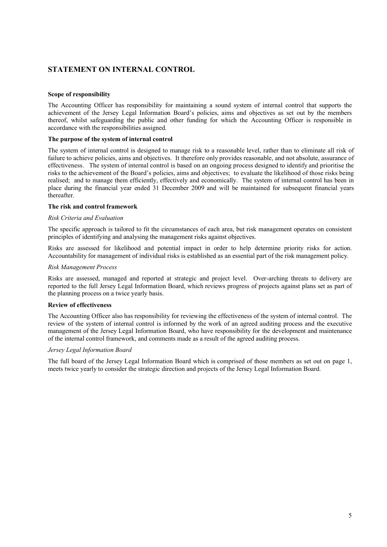## **STATEMENT ON INTERNAL CONTROL**

### **Scope of responsibility**

The Accounting Officer has responsibility for maintaining a sound system of internal control that supports the achievement of the Jersey Legal Information Board's policies, aims and objectives as set out by the members thereof, whilst safeguarding the public and other funding for which the Accounting Officer is responsible in accordance with the responsibilities assigned.

### **The purpose of the system of internal control**

The system of internal control is designed to manage risk to a reasonable level, rather than to eliminate all risk of failure to achieve policies, aims and objectives. It therefore only provides reasonable, and not absolute, assurance of effectiveness. The system of internal control is based on an ongoing process designed to identify and prioritise the risks to the achievement of the Board's policies, aims and objectives; to evaluate the likelihood of those risks being realised; and to manage them efficiently, effectively and economically. The system of internal control has been in place during the financial year ended 31 December 2009 and will be maintained for subsequent financial years thereafter.

### **The risk and control framework**

### *Risk Criteria and Evaluation*

The specific approach is tailored to fit the circumstances of each area, but risk management operates on consistent principles of identifying and analysing the management risks against objectives.

Risks are assessed for likelihood and potential impact in order to help determine priority risks for action. Accountability for management of individual risks is established as an essential part of the risk management policy.

### *Risk Management Process*

Risks are assessed, managed and reported at strategic and project level. Over-arching threats to delivery are reported to the full Jersey Legal Information Board, which reviews progress of projects against plans set as part of the planning process on a twice yearly basis.

### **Review of effectiveness**

The Accounting Officer also has responsibility for reviewing the effectiveness of the system of internal control. The review of the system of internal control is informed by the work of an agreed auditing process and the executive management of the Jersey Legal Information Board, who have responsibility for the development and maintenance of the internal control framework, and comments made as a result of the agreed auditing process.

### *Jersey Legal Information Board*

The full board of the Jersey Legal Information Board which is comprised of those members as set out on page 1, meets twice yearly to consider the strategic direction and projects of the Jersey Legal Information Board.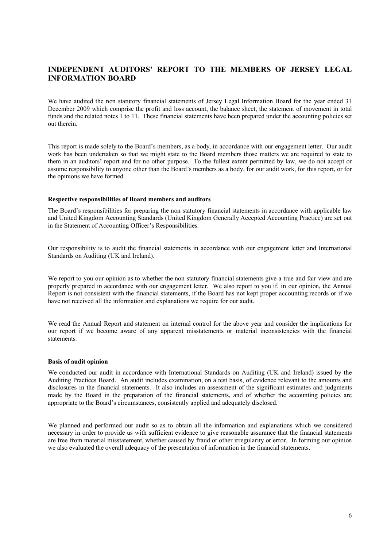## **INDEPENDENT AUDITORS' REPORT TO THE MEMBERS OF JERSEY LEGAL INFORMATION BOARD**

We have audited the non statutory financial statements of Jersey Legal Information Board for the year ended 31 December 2009 which comprise the profit and loss account, the balance sheet, the statement of movement in total funds and the related notes 1 to 11. These financial statements have been prepared under the accounting policies set out therein.

This report is made solely to the Board's members, as a body, in accordance with our engagement letter. Our audit work has been undertaken so that we might state to the Board members those matters we are required to state to them in an auditors' report and for no other purpose. To the fullest extent permitted by law, we do not accept or assume responsibility to anyone other than the Board's members as a body, for our audit work, for this report, or for the opinions we have formed.

### **Respective responsibilities of Board members and auditors**

The Board's responsibilities for preparing the non statutory financial statements in accordance with applicable law and United Kingdom Accounting Standards (United Kingdom Generally Accepted Accounting Practice) are set out in the Statement of Accounting Officer's Responsibilities.

Our responsibility is to audit the financial statements in accordance with our engagement letter and International Standards on Auditing (UK and Ireland).

We report to you our opinion as to whether the non statutory financial statements give a true and fair view and are properly prepared in accordance with our engagement letter. We also report to you if, in our opinion, the Annual Report is not consistent with the financial statements, if the Board has not kept proper accounting records or if we have not received all the information and explanations we require for our audit.

We read the Annual Report and statement on internal control for the above year and consider the implications for our report if we become aware of any apparent misstatements or material inconsistencies with the financial statements.

### **Basis of audit opinion**

We conducted our audit in accordance with International Standards on Auditing (UK and Ireland) issued by the Auditing Practices Board. An audit includes examination, on a test basis, of evidence relevant to the amounts and disclosures in the financial statements. It also includes an assessment of the significant estimates and judgments made by the Board in the preparation of the financial statements, and of whether the accounting policies are appropriate to the Board's circumstances, consistently applied and adequately disclosed.

We planned and performed our audit so as to obtain all the information and explanations which we considered necessary in order to provide us with sufficient evidence to give reasonable assurance that the financial statements are free from material misstatement, whether caused by fraud or other irregularity or error. In forming our opinion we also evaluated the overall adequacy of the presentation of information in the financial statements.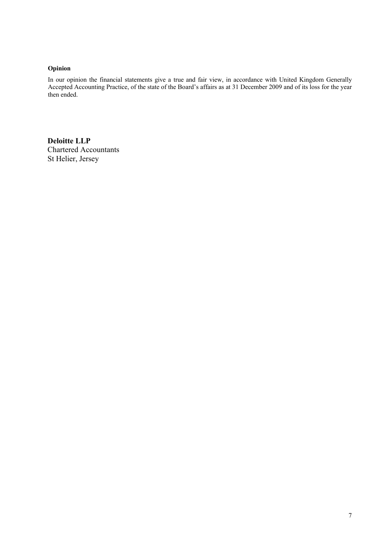## **Opinion**

In our opinion the financial statements give a true and fair view, in accordance with United Kingdom Generally Accepted Accounting Practice, of the state of the Board's affairs as at 31 December 2009 and of its loss for the year then ended.

**Deloitte LLP** Chartered Accountants St Helier, Jersey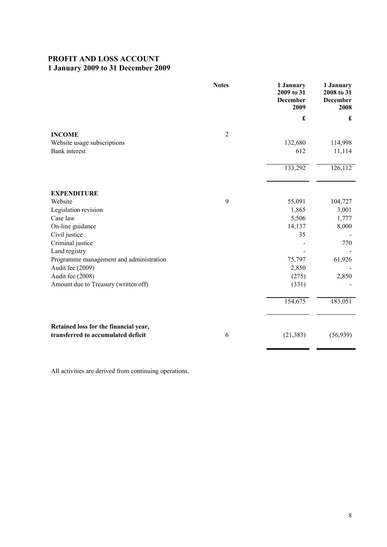# **PROFIT AND LOSS ACCOUNT 1 January 2009 to 31 December 2009**

|                                         | <b>Notes</b>   | 1 January<br>2009 to 31<br><b>December</b><br>2009 | 1 January<br>2008 to 31<br>December<br>2008 |
|-----------------------------------------|----------------|----------------------------------------------------|---------------------------------------------|
|                                         |                | £                                                  | £                                           |
| <b>INCOME</b>                           | $\overline{2}$ |                                                    |                                             |
| Website usage subscriptions             |                | 132,680                                            | 114,998                                     |
| <b>Bank</b> interest                    |                | 612                                                | 11,114                                      |
|                                         |                |                                                    |                                             |
|                                         |                | 133,292                                            | 126, 112                                    |
| <b>EXPENDITURE</b>                      |                |                                                    |                                             |
| Website                                 | 9              | 55,091                                             | 104,727                                     |
| Legislation revision                    |                | 1,865                                              | 3,001                                       |
| Case law                                |                | 5,506                                              | 1,777                                       |
| On-line guidance                        |                | 14,137                                             | 8,000                                       |
| Civil justice                           |                | 35                                                 |                                             |
| Criminal justice                        |                |                                                    | 770                                         |
| Land registry                           |                |                                                    |                                             |
| Programme management and administration |                | 75,797                                             | 61,926                                      |
| Audit fee (2009)                        |                | 2,850                                              |                                             |
| Audit fee (2008)                        |                | (275)                                              | 2,850                                       |
| Amount due to Treasury (written off)    |                | (331)                                              |                                             |
|                                         |                | 154,675                                            | 183,051                                     |
| Retained loss for the financial year,   |                |                                                    |                                             |
| transferred to accumulated deficit      | 6              | (21, 383)                                          | (56, 939)                                   |

All activities are derived from continuing operations.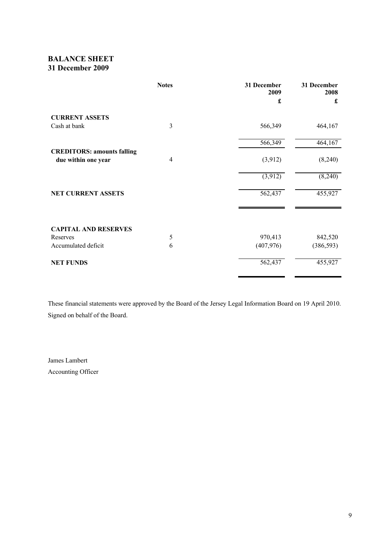# **BALANCE SHEET 31 December 2009**

|                                   | <b>Notes</b>   | 31 December<br>2009  | 31 December<br>2008  |
|-----------------------------------|----------------|----------------------|----------------------|
|                                   |                | $\pmb{\mathfrak{L}}$ | $\pmb{\mathfrak{L}}$ |
| <b>CURRENT ASSETS</b>             |                |                      |                      |
| Cash at bank                      | 3              | 566,349              | 464,167              |
|                                   |                | 566,349              | 464,167              |
| <b>CREDITORS: amounts falling</b> |                |                      |                      |
| due within one year               | $\overline{4}$ | (3, 912)             | (8,240)              |
|                                   |                | (3, 912)             | (8,240)              |
| <b>NET CURRENT ASSETS</b>         |                | 562,437              | 455,927              |
|                                   |                |                      |                      |
| <b>CAPITAL AND RESERVES</b>       |                |                      |                      |
| Reserves                          | 5              | 970,413              | 842,520              |
| Accumulated deficit               | 6              | (407, 976)           | (386, 593)           |
| <b>NET FUNDS</b>                  |                | 562,437              | 455,927              |
|                                   |                |                      |                      |

These financial statements were approved by the Board of the Jersey Legal Information Board on 19 April 2010. Signed on behalf of the Board.

James Lambert Accounting Officer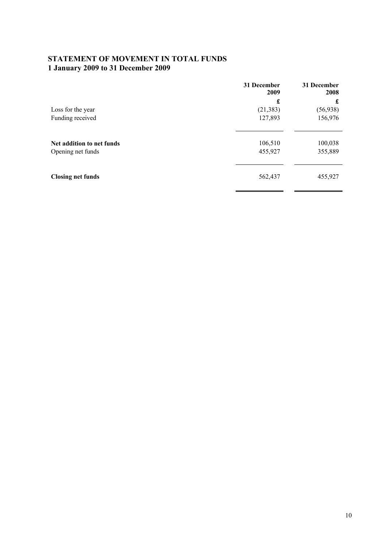# **STATEMENT OF MOVEMENT IN TOTAL FUNDS 1 January 2009 to 31 December 2009**

|                           | 31 December<br>2009 | 31 December<br>2008 |
|---------------------------|---------------------|---------------------|
|                           | £                   | £                   |
| Loss for the year         | (21, 383)           | (56, 938)           |
| Funding received          | 127,893             | 156,976             |
| Net addition to net funds | 106,510             | 100,038             |
| Opening net funds         | 455,927             | 355,889             |
| <b>Closing net funds</b>  | 562,437             | 455,927             |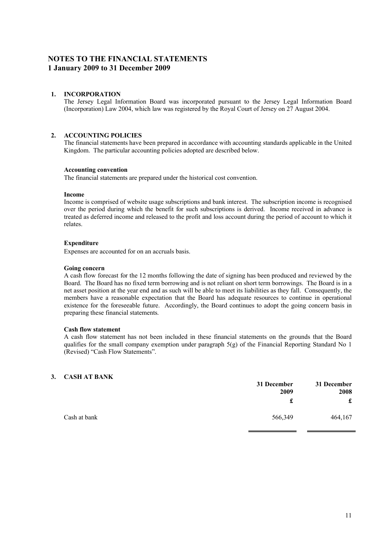## **NOTES TO THE FINANCIAL STATEMENTS 1 January 2009 to 31 December 2009**

### **1. INCORPORATION**

The Jersey Legal Information Board was incorporated pursuant to the Jersey Legal Information Board (Incorporation) Law 2004, which law was registered by the Royal Court of Jersey on 27 August 2004.

### **2. ACCOUNTING POLICIES**

The financial statements have been prepared in accordance with accounting standards applicable in the United Kingdom. The particular accounting policies adopted are described below.

### **Accounting convention**

The financial statements are prepared under the historical cost convention.

#### **Income**

Income is comprised of website usage subscriptions and bank interest. The subscription income is recognised over the period during which the benefit for such subscriptions is derived. Income received in advance is treated as deferred income and released to the profit and loss account during the period of account to which it relates.

### **Expenditure**

Expenses are accounted for on an accruals basis.

### **Going concern**

A cash flow forecast for the 12 months following the date of signing has been produced and reviewed by the Board. The Board has no fixed term borrowing and is not reliant on short term borrowings. The Board is in a net asset position at the year end and as such will be able to meet its liabilities as they fall. Consequently, the members have a reasonable expectation that the Board has adequate resources to continue in operational existence for the foreseeable future. Accordingly, the Board continues to adopt the going concern basis in preparing these financial statements.

#### **Cash flow statement**

A cash flow statement has not been included in these financial statements on the grounds that the Board qualifies for the small company exemption under paragraph 5(g) of the Financial Reporting Standard No 1 (Revised) "Cash Flow Statements".

## **3. CASH AT BANK**

|              | 31 December<br>2009 | 31 December<br>2008<br>£<br>£ |
|--------------|---------------------|-------------------------------|
|              |                     |                               |
| Cash at bank | 566,349             | 464,167                       |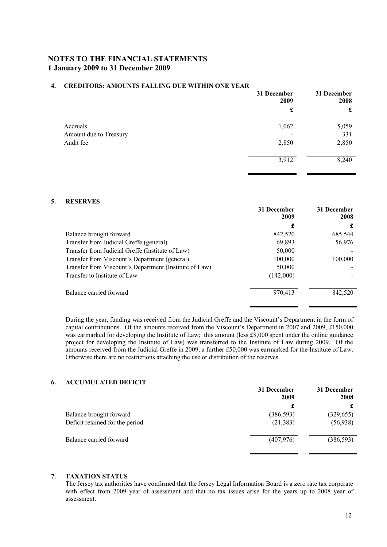## **NOTES TO THE FINANCIAL STATEMENTS 1 January 2009 to 31 December 2009**

### **4. CREDITORS: AMOUNTS FALLING DUE WITHIN ONE YEAR**

| 31 December<br>2009 | 31 December<br>2008 |
|---------------------|---------------------|
| £                   | £                   |
| 1,062               | 5,059               |
| ۰<br>2,850          | 331<br>2,850        |
| 3,912               | 8,240               |
|                     |                     |

### **5. RESERVES**

|                                                        | 31 December<br>2009 | 31 December<br>2008 |
|--------------------------------------------------------|---------------------|---------------------|
|                                                        | £                   | £                   |
| Balance brought forward                                | 842,520             | 685,544             |
| Transfer from Judicial Greffe (general)                | 69,893              | 56,976              |
| Transfer from Judicial Greffe (Institute of Law)       | 50,000              |                     |
| Transfer from Viscount's Department (general)          | 100,000             | 100,000             |
| Transfer from Viscount's Department (Institute of Law) | 50,000              |                     |
| Transfer to Institute of Law                           | (142,000)           |                     |
| Balance carried forward                                | 970,413             | 842,520             |

During the year, funding was received from the Judicial Greffe and the Viscount's Department in the form of capital contributions. Of the amounts received from the Viscount's Department in 2007 and 2009, £150,000 was earmarked for developing the Institute of Law; this amount (less £8,000 spent under the online guidance project for developing the Institute of Law) was transferred to the Institute of Law during 2009. Of the amounts received from the Judicial Greffe in 2009, a further £50,000 was earmarked for the Institute of Law. Otherwise there are no restrictions attaching the use or distribution of the reserves.

## **6. ACCUMULATED DEFICIT**

|                                 | 31 December<br>2009 | 31 December<br>2008 |
|---------------------------------|---------------------|---------------------|
|                                 | £                   |                     |
| Balance brought forward         | (386, 593)          | (329, 655)          |
| Deficit retained for the period | (21, 383)           | (56, 938)           |
| Balance carried forward         | (407, 976)          | (386, 593)          |

### **7. TAXATION STATUS**

The Jersey tax authorities have confirmed that the Jersey Legal Information Board is a zero rate tax corporate with effect from 2009 year of assessment and that no tax issues arise for the years up to 2008 year of assessment.